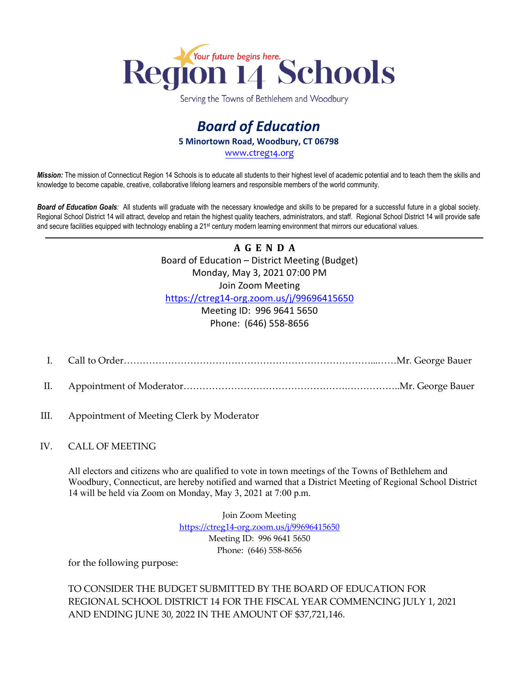

Serving the Towns of Bethlehem and Woodbury

# *Board of Education*  **5 Minortown Road, Woodbury, CT 06798**

[www.ctreg14.org](http://www.ctreg14.org/)

*Mission:* The mission of Connecticut Region 14 Schools is to educate all students to their highest level of academic potential and to teach them the skills and knowledge to become capable, creative, collaborative lifelong learners and responsible members of the world community.

*Board of Education Goals:* All students will graduate with the necessary knowledge and skills to be prepared for a successful future in a global society. Regional School District 14 will attract, develop and retain the highest quality teachers, administrators, and staff. Regional School District 14 will provide safe and secure facilities equipped with technology enabling a 21<sup>st</sup> century modern learning environment that mirrors our educational values.

> **A G E N D A**  Board of Education – District Meeting (Budget) Monday, May 3, 2021 07:00 PM Join Zoom Meeting <https://ctreg14-org.zoom.us/j/99696415650> Meeting ID: 996 9641 5650 Phone: (646) 558-8656

- I. Call to Order……………………………………………………………………...……Mr. George Bauer
- II. Appointment of Moderator…………………………………………….……………..Mr. George Bauer
- III. Appointment of Meeting Clerk by Moderator

#### IV. CALL OF MEETING

All electors and citizens who are qualified to vote in town meetings of the Towns of Bethlehem and Woodbury, Connecticut, are hereby notified and warned that a District Meeting of Regional School District 14 will be held via Zoom on Monday, May 3, 2021 at 7:00 p.m.

> Join Zoom Meeting <https://ctreg14-org.zoom.us/j/99696415650> Meeting ID: 996 9641 5650 Phone: (646) 558-8656

for the following purpose:

TO CONSIDER THE BUDGET SUBMITTED BY THE BOARD OF EDUCATION FOR REGIONAL SCHOOL DISTRICT 14 FOR THE FISCAL YEAR COMMENCING JULY 1, 2021 AND ENDING JUNE 30, 2022 IN THE AMOUNT OF \$37,721,146.